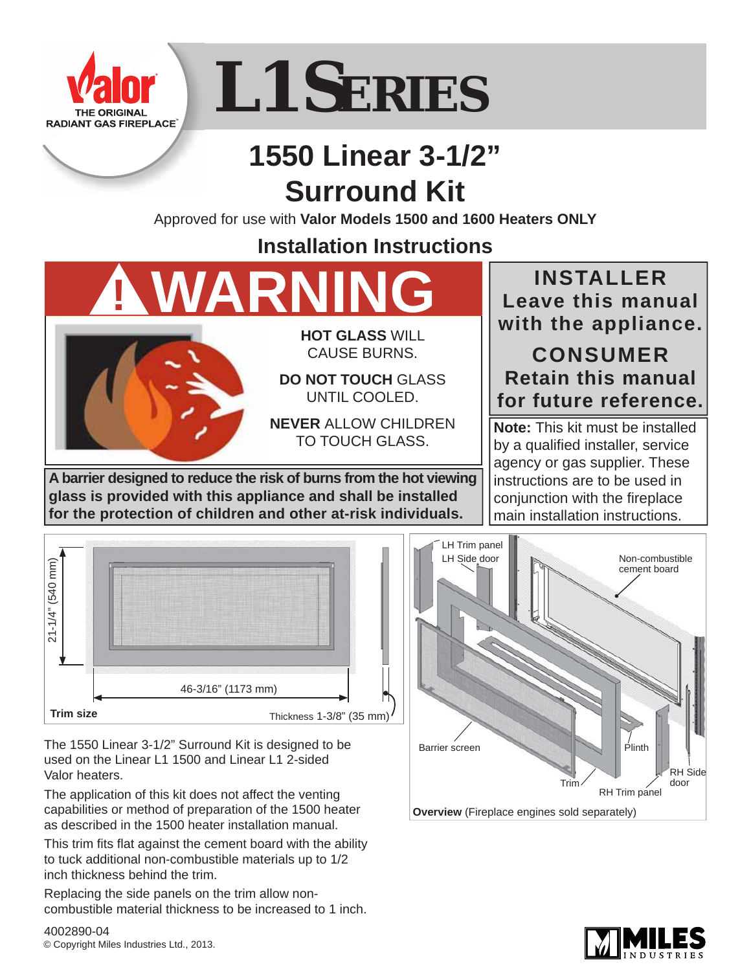

# **L1 SERIES**

# **1550 Linear 3-1/2" Surround Kit**

Approved for use with **Valor Models 1500 and 1600 Heaters ONLY**

# **Installation Instructions**

**! WARNING**



**HOT GLASS** WILL CAUSE BURNS.

**DO NOT TOUCH** GLASS UNTIL COOLED.

**NEVER** ALLOW CHILDREN TO TOUCH GLASS.

**A barrier designed to reduce the risk of burns from the hot viewing glass is provided with this appliance and shall be installed for the protection of children and other at-risk individuals.**

## **INSTALLER Leave this manual with the appliance.**

## **CONSUMER Retain this manual for future reference.**

**Note:** This kit must be installed by a qualified installer, service agency or gas supplier. These instructions are to be used in conjunction with the fireplace main installation instructions.



The 1550 Linear 3-1/2" Surround Kit is designed to be used on the Linear L1 1500 and Linear L1 2-sided Valor heaters.

The application of this kit does not affect the venting capabilities or method of preparation of the 1500 heater as described in the 1500 heater installation manual.

This trim fits flat against the cement board with the ability to tuck additional non-combustible materials up to 1/2 inch thickness behind the trim.

Replacing the side panels on the trim allow noncombustible material thickness to be increased to 1 inch.





4002890-04 © Copyright Miles Industries Ltd., 2013.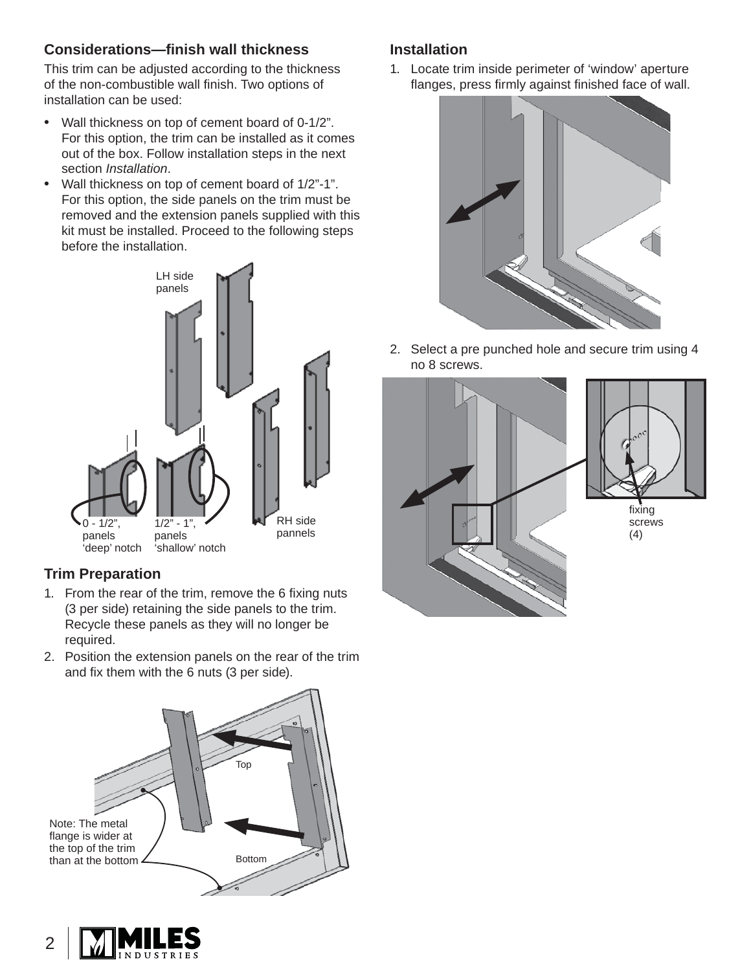#### **Considerations—fi nish wall thickness**

This trim can be adjusted according to the thickness of the non-combustible wall finish. Two options of installation can be used:

- Wall thickness on top of cement board of 0-1/2". For this option, the trim can be installed as it comes out of the box. Follow installation steps in the next section *Installation*.
- Wall thickness on top of cement board of 1/2"-1". For this option, the side panels on the trim must be removed and the extension panels supplied with this kit must be installed. Proceed to the following steps before the installation.



#### **Trim Preparation**

- 1. From the rear of the trim, remove the 6 fixing nuts (3 per side) retaining the side panels to the trim. Recycle these panels as they will no longer be required.
- 2. Position the extension panels on the rear of the trim and fix them with the 6 nuts (3 per side).





1. Locate trim inside perimeter of 'window' aperture flanges, press firmly against finished face of wall.



2. Select a pre punched hole and secure trim using 4 no 8 screws.



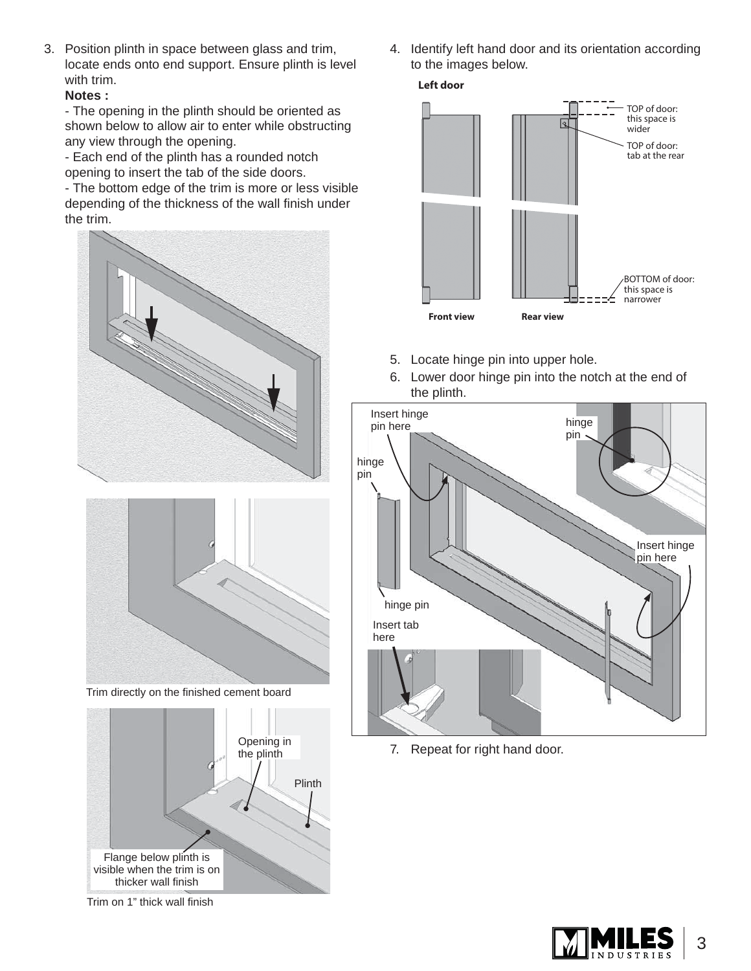3. Position plinth in space between glass and trim, locate ends onto end support. Ensure plinth is level with trim.

#### **Notes :**

- The opening in the plinth should be oriented as shown below to allow air to enter while obstructing any view through the opening.

- Each end of the plinth has a rounded notch opening to insert the tab of the side doors.

- The bottom edge of the trim is more or less visible depending of the thickness of the wall finish under the trim.





Trim directly on the finished cement board



Trim on 1" thick wall finish

4. Identify left hand door and its orientation according to the images below.





- 5. Locate hinge pin into upper hole.
- 6. Lower door hinge pin into the notch at the end of the plinth.



7. Repeat for right hand door.

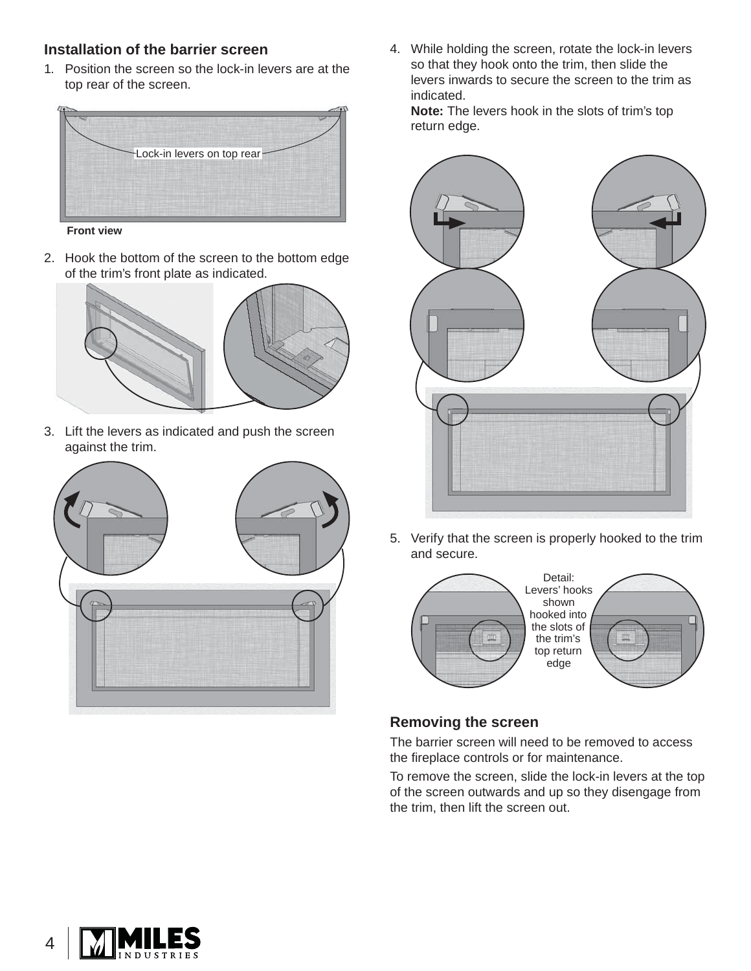#### **Installation of the barrier screen**

1. Position the screen so the lock-in levers are at the top rear of the screen.



**Front view**

2. Hook the bottom of the screen to the bottom edge of the trim's front plate as indicated.



3. Lift the levers as indicated and push the screen against the trim.



4. While holding the screen, rotate the lock-in levers so that they hook onto the trim, then slide the levers inwards to secure the screen to the trim as indicated.

**Note:** The levers hook in the slots of trim's top return edge.



5. Verify that the screen is properly hooked to the trim and secure.



#### **Removing the screen**

The barrier screen will need to be removed to access the fireplace controls or for maintenance.

To remove the screen, slide the lock-in levers at the top of the screen outwards and up so they disengage from the trim, then lift the screen out.

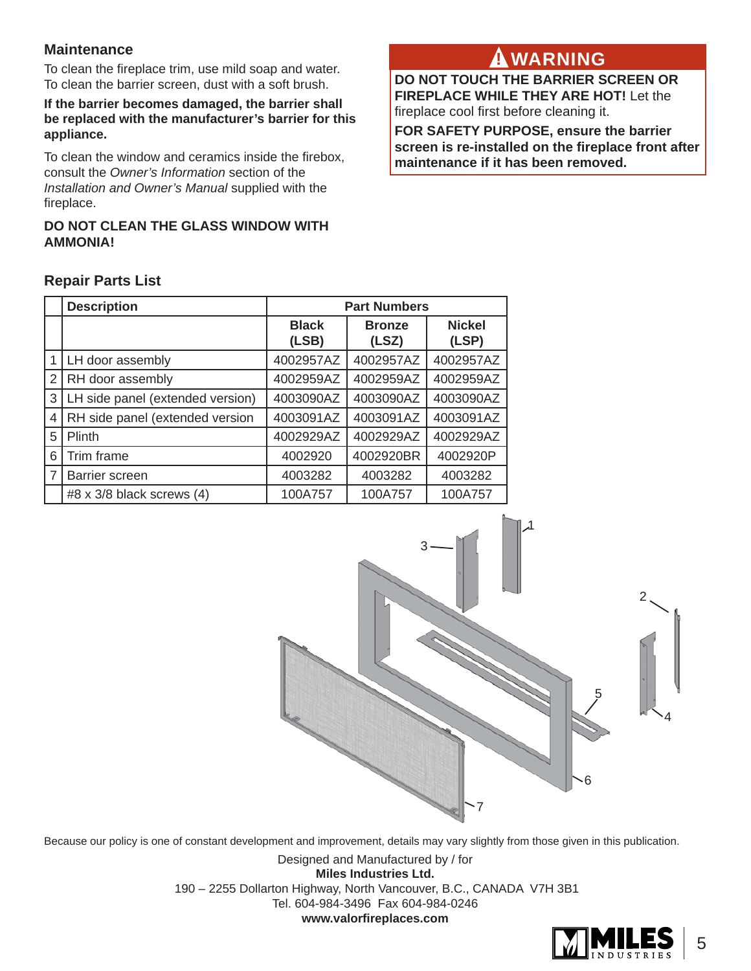#### **Maintenance**

To clean the fireplace trim, use mild soap and water. To clean the barrier screen, dust with a soft brush.

**If the barrier becomes damaged, the barrier shall be replaced with the manufacturer's barrier for this appliance.**

To clean the window and ceramics inside the firebox, consult the *Owner's Information* section of the *Installation and Owner's Manual* supplied with the fireplace.

#### **DO NOT CLEAN THE GLASS WINDOW WITH AMMONIA!**

## **WARNING ! WARNING**

**DO NOT TOUCH THE BARRIER SCREEN OR FIREPLACE WHILE THEY ARE HOT!** Let the fireplace cool first before cleaning it.

**FOR SAFETY PURPOSE, ensure the barrier screen is re-installed on the fireplace front after maintenance if it has been removed.** 

|                          | <b>Description</b>               | <b>Part Numbers</b>   |                        |                        |  |  |
|--------------------------|----------------------------------|-----------------------|------------------------|------------------------|--|--|
|                          |                                  | <b>Black</b><br>(LSB) | <b>Bronze</b><br>(LSZ) | <b>Nickel</b><br>(LSP) |  |  |
|                          | LH door assembly                 | 4002957AZ             | 4002957AZ              | 4002957AZ              |  |  |
| 2                        | RH door assembly                 | 4002959AZ             | 4002959AZ              | 4002959AZ              |  |  |
| 3                        | LH side panel (extended version) | 4003090AZ             | 4003090AZ              | 4003090AZ              |  |  |
| $\overline{\mathcal{A}}$ | RH side panel (extended version  | 4003091AZ             | 4003091AZ              | 4003091AZ              |  |  |
| 5                        | Plinth                           | 4002929AZ             | 4002929AZ              | 4002929AZ              |  |  |
| 6                        | Trim frame                       | 4002920               | 4002920BR              | 4002920P               |  |  |
| 7                        | Barrier screen                   | 4003282               | 4003282                | 4003282                |  |  |
|                          | #8 x 3/8 black screws $(4)$      | 100A757               | 100A757                | 100A757                |  |  |

#### **Repair Parts List**



Because our policy is one of constant development and improvement, details may vary slightly from those given in this publication.

Designed and Manufactured by / for **Miles Industries Ltd.** 190 – 2255 Dollarton Highway, North Vancouver, B.C., CANADA V7H 3B1 Tel. 604-984-3496 Fax 604-984-0246 **www.valorfi replaces.com**

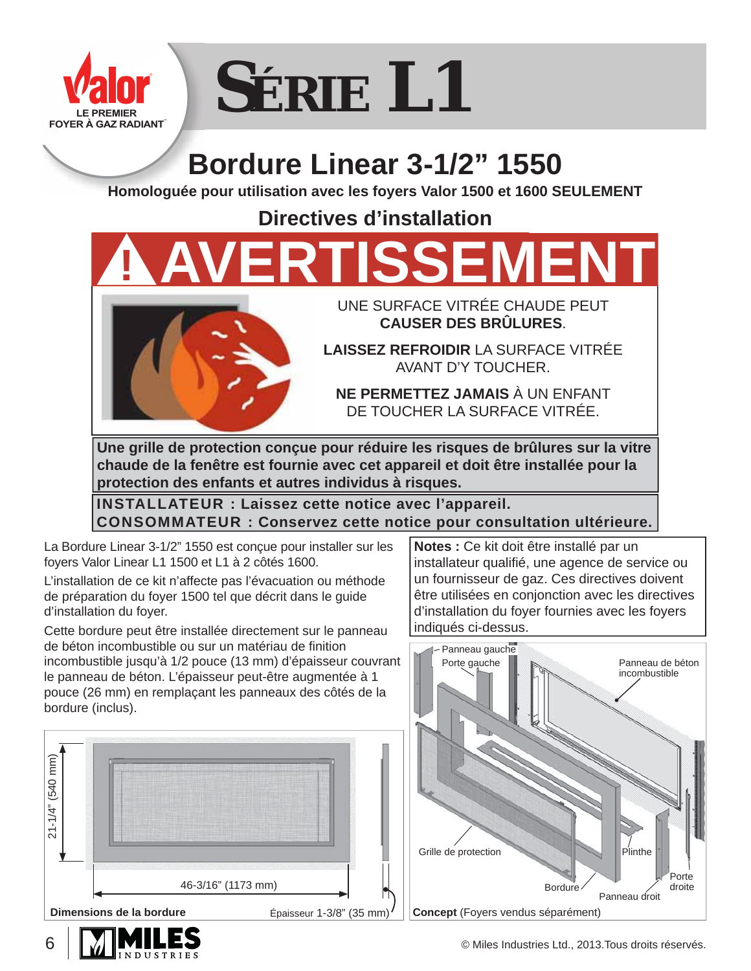

# **SÉRIE L1**

# **Bordure Linear 3-1/2" 1550**

**Homologuée pour utilisation avec les foyers Valor 1500 et 1600 SEULEMENT**

**Directives d'installation**

**! AVERTISSEMENT**



UNE SURFACE VITRÉE CHAUDE PEUT **CAUSER DES BRÛLURES**.

**LAISSEZ REFROIDIR** LA SURFACE VITRÉE AVANT D'Y TOUCHER.

**NE PERMETTEZ JAMAIS** À UN ENFANT DE TOUCHER LA SURFACE VITRÉE.

**Une grille de protection conçue pour réduire les risques de brûlures sur la vitre chaude de la fenêtre est fournie avec cet appareil et doit être installée pour la protection des enfants et autres individus à risques.**

**INSTALLATEUR : Laissez cette notice avec l'appareil. CONSOMMATEUR : Conservez cette notice pour consultation ultérieure.**

La Bordure Linear 3-1/2" 1550 est conçue pour installer sur les foyers Valor Linear L1 1500 et L1 à 2 côtés 1600.

L'installation de ce kit n'affecte pas l'évacuation ou méthode de préparation du foyer 1500 tel que décrit dans le guide d'installation du foyer.

Cette bordure peut être installée directement sur le panneau de béton incombustible ou sur un matériau de finition incombustible jusqu'à 1/2 pouce (13 mm) d'épaisseur couvrant le panneau de béton. L'épaisseur peut-être augmentée à 1 pouce (26 mm) en remplaçant les panneaux des côtés de la bordure (inclus).



**Notes :** Ce kit doit être installé par un installateur qualifié, une agence de service ou un fournisseur de gaz. Ces directives doivent être utilisées en conjonction avec les directives d'installation du foyer fournies avec les foyers indiqués ci-dessus.





6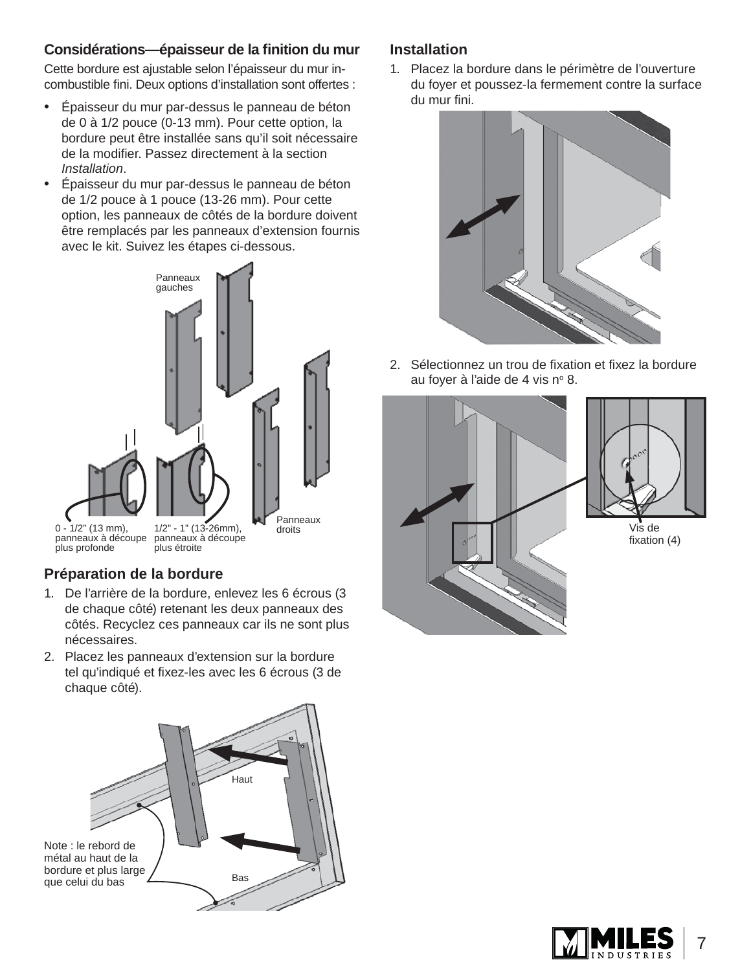#### **Considérations—épaisseur de la fi nition du mur**

Cette bordure est ajustable selon l'épaisseur du mur incombustible fini. Deux options d'installation sont offertes :

- Épaisseur du mur par-dessus le panneau de béton de 0 à 1/2 pouce (0-13 mm). Pour cette option, la bordure peut être installée sans qu'il soit nécessaire de la modifier. Passez directement à la section *Installation*.
- Épaisseur du mur par-dessus le panneau de béton de 1/2 pouce à 1 pouce (13-26 mm). Pour cette option, les panneaux de côtés de la bordure doivent être remplacés par les panneaux d'extension fournis avec le kit. Suivez les étapes ci-dessous.



#### **Préparation de la bordure**

- 1. De l'arrière de la bordure, enlevez les 6 écrous (3 de chaque côté) retenant les deux panneaux des côtés. Recyclez ces panneaux car ils ne sont plus nécessaires.
- 2. Placez les panneaux d'extension sur la bordure tel qu'indiqué et fixez-les avec les 6 écrous (3 de chaque côté).



#### **Installation**

1. Placez la bordure dans le périmètre de l'ouverture du foyer et poussez-la fermement contre la surface du mur fini.



2. Sélectionnez un trou de fixation et fixez la bordure au foyer à l'aide de 4 vis nº 8.





Vis de fixation  $(4)$ 

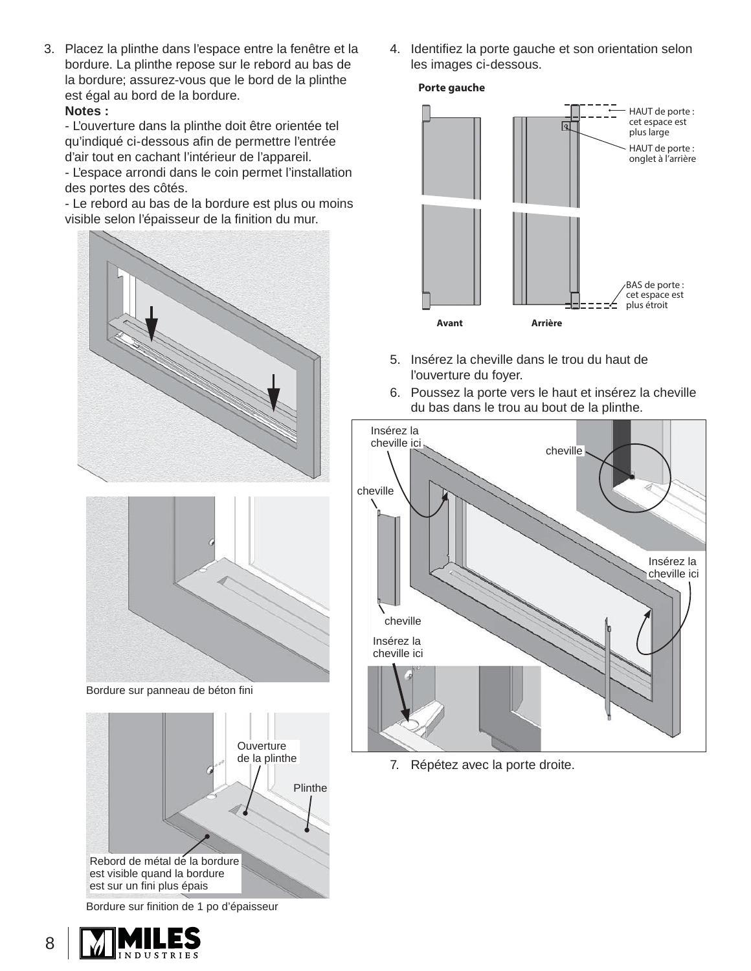3. Placez la plinthe dans l'espace entre la fenêtre et la bordure. La plinthe repose sur le rebord au bas de la bordure; assurez-vous que le bord de la plinthe est égal au bord de la bordure. **Notes :**

- L'ouverture dans la plinthe doit être orientée tel qu'indiqué ci-dessous afin de permettre l'entrée d'air tout en cachant l'intérieur de l'appareil.

- L'espace arrondi dans le coin permet l'installation des portes des côtés.

- Le rebord au bas de la bordure est plus ou moins visible selon l'épaisseur de la finition du mur.





Bordure sur panneau de béton fini



Bordure sur finition de 1 po d'épaisseur

8 NDUSTRI 4. Identifiez la porte gauche et son orientation selon les images ci-dessous.





- 5. Insérez la cheville dans le trou du haut de l'ouverture du foyer.
- 6. Poussez la porte vers le haut et insérez la cheville du bas dans le trou au bout de la plinthe.



7. Répétez avec la porte droite.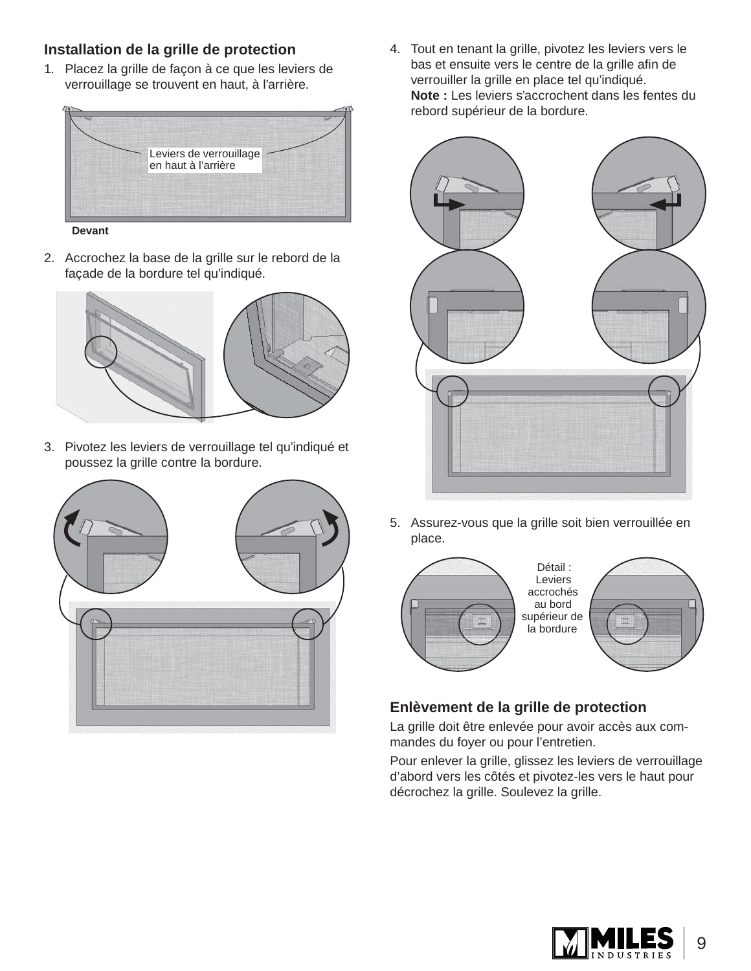#### **Installation de la grille de protection**

1. Placez la grille de façon à ce que les leviers de verrouillage se trouvent en haut, à l'arrière.



**Devant**

2. Accrochez la base de la grille sur le rebord de la façade de la bordure tel qu'indiqué.



3. Pivotez les leviers de verrouillage tel qu'indiqué et poussez la grille contre la bordure.



4. Tout en tenant la grille, pivotez les leviers vers le bas et ensuite vers le centre de la grille afin de verrouiller la grille en place tel qu'indiqué. **Note :** Les leviers s'accrochent dans les fentes du rebord supérieur de la bordure.



5. Assurez-vous que la grille soit bien verrouillée en place.



#### **Enlèvement de la grille de protection**

La grille doit être enlevée pour avoir accès aux commandes du foyer ou pour l'entretien.

Pour enlever la grille, glissez les leviers de verrouillage d'abord vers les côtés et pivotez-les vers le haut pour décrochez la grille. Soulevez la grille.